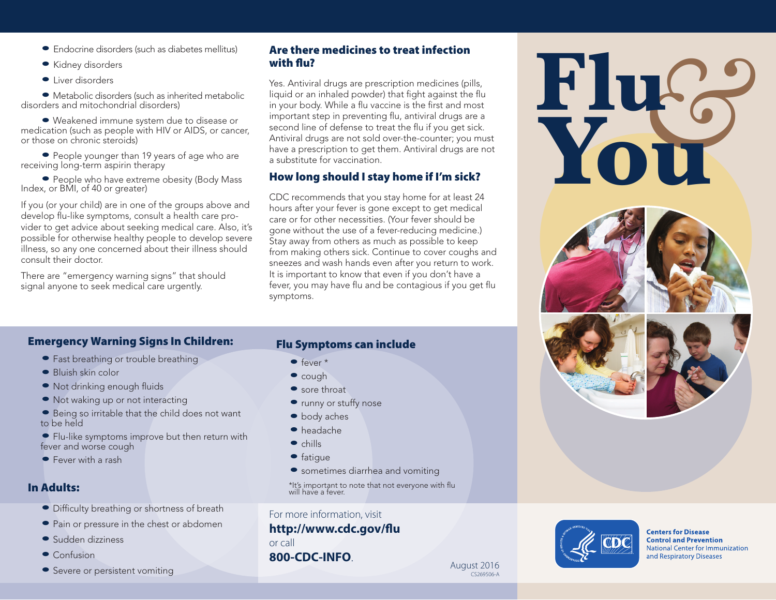- Endocrine disorders (such as diabetes mellitus)
- Kidney disorders
- Liver disorders

 • Metabolic disorders (such as inherited metabolic disorders and mitochondrial disorders)

 • Weakened immune system due to disease or medication (such as people with HIV or AIDS, or cancer, or those on chronic steroids)

• People younger than 19 years of age who are receiving long-term aspirin therapy

 • People who have extreme obesity (Body Mass Index, or BMI, of 40 or greater)

If you (or your child) are in one of the groups above and develop flu-like symptoms, consult a health care provider to get advice about seeking medical care. Also, it's possible for otherwise healthy people to develop severe illness, so any one concerned about their illness should consult their doctor.

There are "emergency warning signs" that should signal anyone to seek medical care urgently.

#### Are there medicines to treat infection with flu?

Yes. Antiviral drugs are prescription medicines (pills, liquid or an inhaled powder) that fight against the flu in your body. While a flu vaccine is the first and most important step in preventing flu, antiviral drugs are a second line of defense to treat the flu if you get sick. Antiviral drugs are not sold over-the-counter; you must have a prescription to get them. Antiviral drugs are not a substitute for vaccination.

## How long should I stay home if I'm sick?

CDC recommends that you stay home for at least 24 hours after your fever is gone except to get medical care or for other necessities. (Your fever should be gone without the use of a fever-reducing medicine.) Stay away from others as much as possible to keep from making others sick. Continue to cover coughs and sneezes and wash hands even after you return to work. It is important to know that even if you don't have a fever, you may have flu and be contagious if you get flu symptoms.

## Emergency Warning Signs In Children:

- Fast breathing or trouble breathing
- Bluish skin color
- Not drinking enough fluids
- Not waking up or not interacting
- Being so irritable that the child does not want to be held
- Flu-like symptoms improve but then return with fever and worse cough
- Fever with a rash

### In Adults:

- Difficulty breathing or shortness of breath
- Pain or pressure in the chest or abdomen
- Sudden dizziness
- Confusion
- Severe or persistent vomiting

#### Flu Symptoms can include

- $\bullet$  fever  $*$
- cough
- sore throat
- runny or stuffy nose
- body aches
- headache
- $\bullet$  chills
- $\bullet$  fatigue
- sometimes diarrhea and vomiting

\*It's important to note that not everyone with flu will have a fever.

For more information, visit

# **http://www.cdc.gov/flu**

or call

**800-CDC-INFO**. August 2016







**Centers for Disease Control and Prevention National Center for Immunization** and Respiratory Diseases

CS269506-A